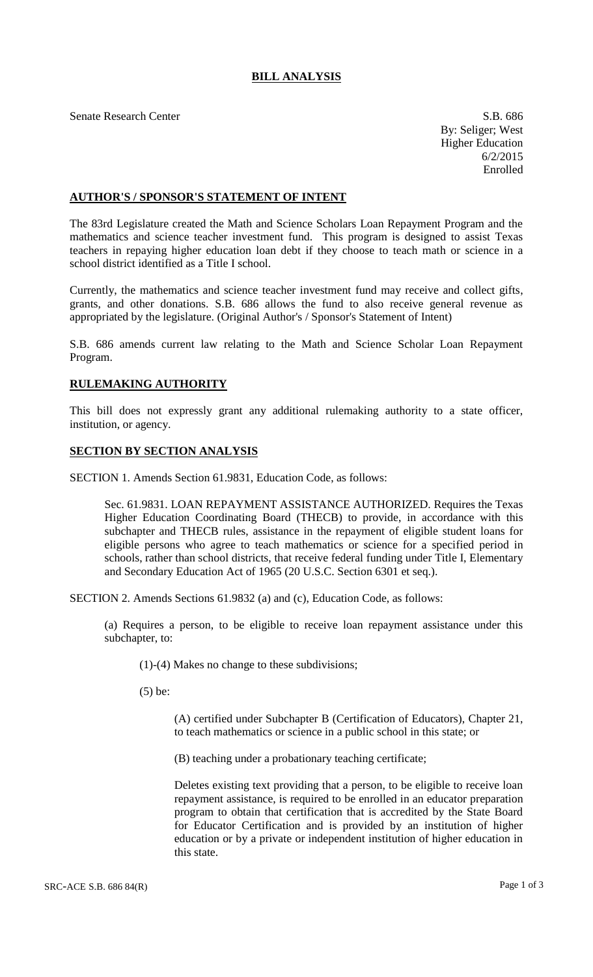## **BILL ANALYSIS**

Senate Research Center S.B. 686

By: Seliger; West Higher Education 6/2/2015 Enrolled

## **AUTHOR'S / SPONSOR'S STATEMENT OF INTENT**

The 83rd Legislature created the Math and Science Scholars Loan Repayment Program and the mathematics and science teacher investment fund. This program is designed to assist Texas teachers in repaying higher education loan debt if they choose to teach math or science in a school district identified as a Title I school.

Currently, the mathematics and science teacher investment fund may receive and collect gifts, grants, and other donations. S.B. 686 allows the fund to also receive general revenue as appropriated by the legislature. (Original Author's / Sponsor's Statement of Intent)

S.B. 686 amends current law relating to the Math and Science Scholar Loan Repayment Program.

## **RULEMAKING AUTHORITY**

This bill does not expressly grant any additional rulemaking authority to a state officer, institution, or agency.

## **SECTION BY SECTION ANALYSIS**

SECTION 1. Amends Section 61.9831, Education Code, as follows:

Sec. 61.9831. LOAN REPAYMENT ASSISTANCE AUTHORIZED. Requires the Texas Higher Education Coordinating Board (THECB) to provide, in accordance with this subchapter and THECB rules, assistance in the repayment of eligible student loans for eligible persons who agree to teach mathematics or science for a specified period in schools, rather than school districts, that receive federal funding under Title I, Elementary and Secondary Education Act of 1965 (20 U.S.C. Section 6301 et seq.).

SECTION 2. Amends Sections 61.9832 (a) and (c), Education Code, as follows:

(a) Requires a person, to be eligible to receive loan repayment assistance under this subchapter, to:

(1)-(4) Makes no change to these subdivisions;

(5) be:

(A) certified under Subchapter B (Certification of Educators), Chapter 21, to teach mathematics or science in a public school in this state; or

(B) teaching under a probationary teaching certificate;

Deletes existing text providing that a person, to be eligible to receive loan repayment assistance, is required to be enrolled in an educator preparation program to obtain that certification that is accredited by the State Board for Educator Certification and is provided by an institution of higher education or by a private or independent institution of higher education in this state.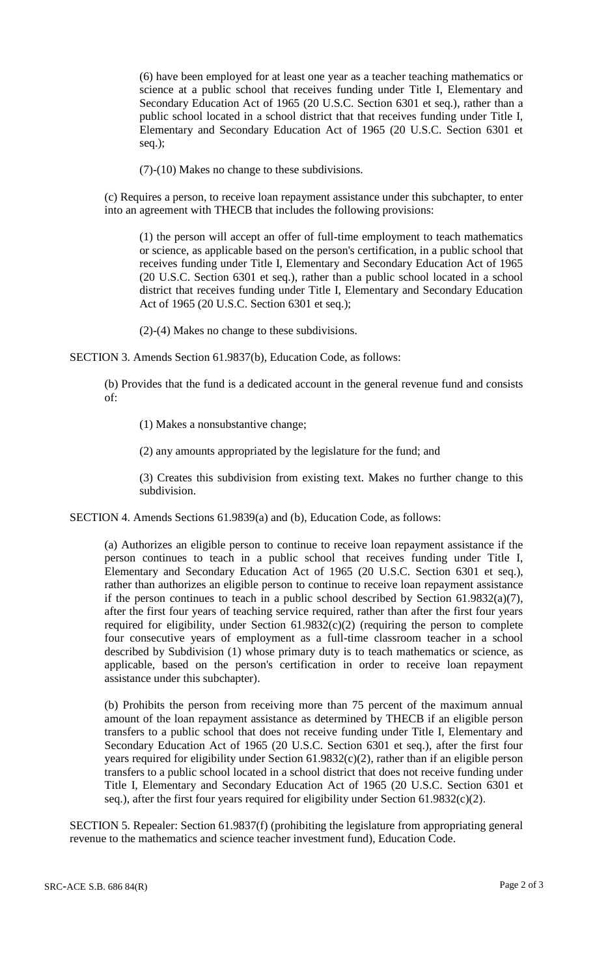(6) have been employed for at least one year as a teacher teaching mathematics or science at a public school that receives funding under Title I, Elementary and Secondary Education Act of 1965 (20 U.S.C. Section 6301 et seq.), rather than a public school located in a school district that that receives funding under Title I, Elementary and Secondary Education Act of 1965 (20 U.S.C. Section 6301 et seq.);

(7)-(10) Makes no change to these subdivisions.

(c) Requires a person, to receive loan repayment assistance under this subchapter, to enter into an agreement with THECB that includes the following provisions:

(1) the person will accept an offer of full-time employment to teach mathematics or science, as applicable based on the person's certification, in a public school that receives funding under Title I, Elementary and Secondary Education Act of 1965 (20 U.S.C. Section 6301 et seq.), rather than a public school located in a school district that receives funding under Title I, Elementary and Secondary Education Act of 1965 (20 U.S.C. Section 6301 et seq.);

(2)-(4) Makes no change to these subdivisions.

SECTION 3. Amends Section 61.9837(b), Education Code, as follows:

(b) Provides that the fund is a dedicated account in the general revenue fund and consists of:

(1) Makes a nonsubstantive change;

(2) any amounts appropriated by the legislature for the fund; and

(3) Creates this subdivision from existing text. Makes no further change to this subdivision.

SECTION 4. Amends Sections 61.9839(a) and (b), Education Code, as follows:

(a) Authorizes an eligible person to continue to receive loan repayment assistance if the person continues to teach in a public school that receives funding under Title I, Elementary and Secondary Education Act of 1965 (20 U.S.C. Section 6301 et seq.), rather than authorizes an eligible person to continue to receive loan repayment assistance if the person continues to teach in a public school described by Section 61.9832(a)(7), after the first four years of teaching service required, rather than after the first four years required for eligibility, under Section  $61.9832(c)(2)$  (requiring the person to complete four consecutive years of employment as a full-time classroom teacher in a school described by Subdivision (1) whose primary duty is to teach mathematics or science, as applicable, based on the person's certification in order to receive loan repayment assistance under this subchapter).

(b) Prohibits the person from receiving more than 75 percent of the maximum annual amount of the loan repayment assistance as determined by THECB if an eligible person transfers to a public school that does not receive funding under Title I, Elementary and Secondary Education Act of 1965 (20 U.S.C. Section 6301 et seq.), after the first four years required for eligibility under Section  $61.9832(c)(2)$ , rather than if an eligible person transfers to a public school located in a school district that does not receive funding under Title I, Elementary and Secondary Education Act of 1965 (20 U.S.C. Section 6301 et seq.), after the first four years required for eligibility under Section 61.9832(c)(2).

SECTION 5. Repealer: Section 61.9837(f) (prohibiting the legislature from appropriating general revenue to the mathematics and science teacher investment fund), Education Code.